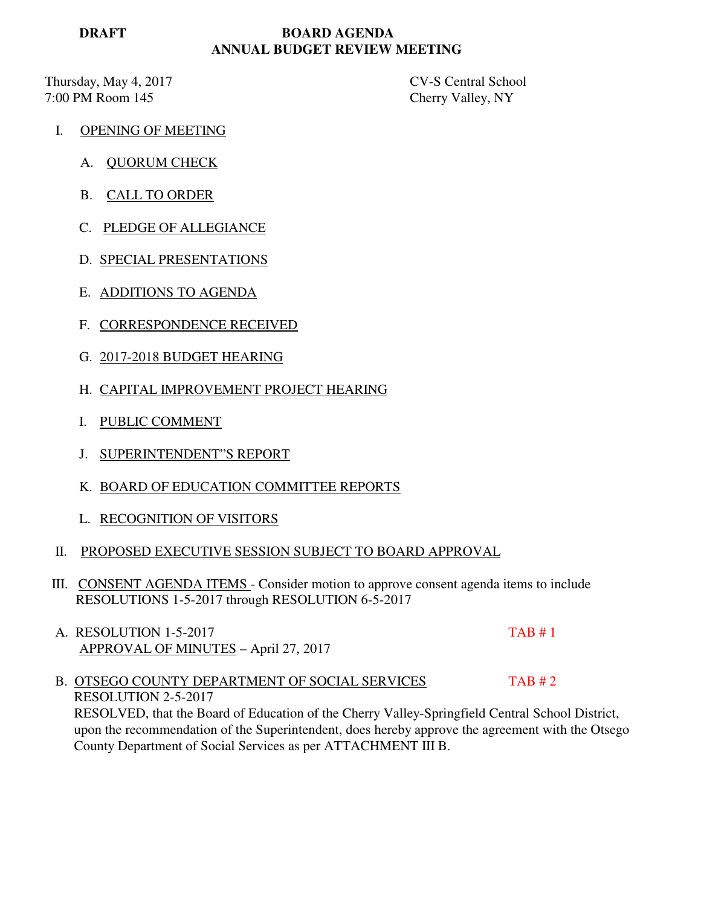## **DRAFT BOARD AGENDA ANNUAL BUDGET REVIEW MEETING**

Thursday, May 4, 2017 CV-S Central School 7:00 PM Room 145 Cherry Valley, NY

- I. OPENING OF MEETING
	- A. QUORUM CHECK
	- B. CALL TO ORDER
	- C. PLEDGE OF ALLEGIANCE
	- D. SPECIAL PRESENTATIONS
	- E. ADDITIONS TO AGENDA
	- F. CORRESPONDENCE RECEIVED
	- G. 2017-2018 BUDGET HEARING
	- H. CAPITAL IMPROVEMENT PROJECT HEARING
	- I. PUBLIC COMMENT
	- J. SUPERINTENDENT"S REPORT
	- K. BOARD OF EDUCATION COMMITTEE REPORTS
	- L. RECOGNITION OF VISITORS

## II. PROPOSED EXECUTIVE SESSION SUBJECT TO BOARD APPROVAL

- III. CONSENT AGENDA ITEMS Consider motion to approve consent agenda items to include RESOLUTIONS 1-5-2017 through RESOLUTION 6-5-2017
- A. RESOLUTION 1-5-2017 TAB # 1 APPROVAL OF MINUTES – April 27, 2017
- B. OTSEGO COUNTY DEPARTMENT OF SOCIAL SERVICES TAB # 2 RESOLUTION 2-5-2017 RESOLVED, that the Board of Education of the Cherry Valley-Springfield Central School District, upon the recommendation of the Superintendent, does hereby approve the agreement with the Otsego County Department of Social Services as per ATTACHMENT III B.